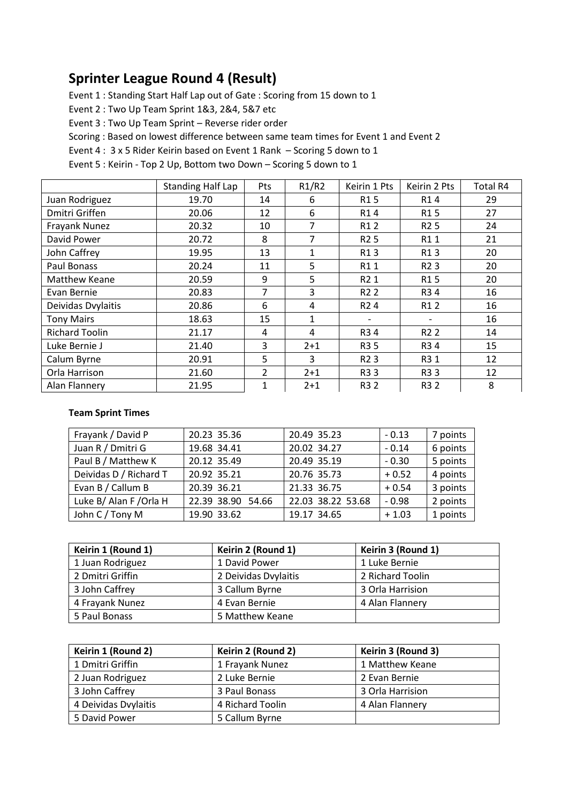## **Sprinter League Round 4 (Result)**

Event 1 : Standing Start Half Lap out of Gate : Scoring from 15 down to 1

Event 2 : Two Up Team Sprint 1&3, 2&4, 5&7 etc

Event 3 : Two Up Team Sprint – Reverse rider order

Scoring : Based on lowest difference between same team times for Event 1 and Event 2

Event 4 : 3 x 5 Rider Keirin based on Event 1 Rank – Scoring 5 down to 1

Event 5 : Keirin - Top 2 Up, Bottom two Down – Scoring 5 down to 1

|                       | <b>Standing Half Lap</b> | Pts            | R1/R2        | Keirin 1 Pts     | Keirin 2 Pts                 | Total R4 |
|-----------------------|--------------------------|----------------|--------------|------------------|------------------------------|----------|
| Juan Rodriguez        | 19.70                    | 14             | 6            | R15              | R14                          | 29       |
| Dmitri Griffen        | 20.06                    | 12             | 6            | R <sub>1</sub> 4 | R <sub>1</sub> 5             | 27       |
| Frayank Nunez         | 20.32                    | 10             | 7            | R12              | R <sub>2</sub> 5             | 24       |
| David Power           | 20.72                    | 8              | 7            | R <sub>2</sub> 5 | R11                          | 21       |
| John Caffrey          | 19.95                    | 13             | 1            | R13              | R13                          | 20       |
| Paul Bonass           | 20.24                    | 11             | 5            | R11              | R <sub>2</sub> 3             | 20       |
| Matthew Keane         | 20.59                    | 9              | 5            | R2 1             | R <sub>1</sub> 5             | 20       |
| Evan Bernie           | 20.83                    | 7              | 3            | R <sub>2</sub> 2 | R34                          | 16       |
| Deividas Dvylaitis    | 20.86                    | 6              | 4            | R <sub>2</sub> 4 | R12                          | 16       |
| <b>Tony Mairs</b>     | 18.63                    | 15             | $\mathbf{1}$ |                  | $\qquad \qquad \blacksquare$ | 16       |
| <b>Richard Toolin</b> | 21.17                    | 4              | 4            | R34              | R <sub>2</sub> 2             | 14       |
| Luke Bernie J         | 21.40                    | 3              | $2 + 1$      | R3 5             | R34                          | 15       |
| Calum Byrne           | 20.91                    | 5              | 3            | R <sub>2</sub> 3 | R3 1                         | 12       |
| Orla Harrison         | 21.60                    | $\overline{2}$ | $2 + 1$      | R33              | R33                          | 12       |
| Alan Flannery         | 21.95                    | 1              | $2 + 1$      | R3 2             | R3 2                         | 8        |

## **Team Sprint Times**

| Frayank / David P       | 20.23 35.36       | 20.49 35.23       | $-0.13$ | 7 points |
|-------------------------|-------------------|-------------------|---------|----------|
| Juan R / Dmitri G       | 19.68 34.41       | 20.02 34.27       | $-0.14$ | 6 points |
| Paul B / Matthew K      | 20.12 35.49       | 20.49 35.19       | $-0.30$ | 5 points |
| Deividas D / Richard T  | 20.92 35.21       | 20.76 35.73       | $+0.52$ | 4 points |
| Evan B / Callum B       | 20.39 36.21       | 21.33 36.75       | $+0.54$ | 3 points |
| Luke B/ Alan F / Orla H | 22.39 38.90 54.66 | 22.03 38.22 53.68 | $-0.98$ | 2 points |
| John C / Tony M         | 19.90 33.62       | 19.17 34.65       | $+1.03$ | 1 points |

| Keirin 1 (Round 1) | Keirin 2 (Round 1)   | Keirin 3 (Round 1) |
|--------------------|----------------------|--------------------|
| 1 Juan Rodriguez   | 1 David Power        | 1 Luke Bernie      |
| 2 Dmitri Griffin   | 2 Deividas Dvylaitis | 2 Richard Toolin   |
| 3 John Caffrey     | 3 Callum Byrne       | 3 Orla Harrision   |
| 4 Frayank Nunez    | 4 Evan Bernie        | 4 Alan Flannery    |
| 5 Paul Bonass      | 5 Matthew Keane      |                    |

| Keirin 1 (Round 2)   | Keirin 2 (Round 2) | Keirin 3 (Round 3) |
|----------------------|--------------------|--------------------|
| 1 Dmitri Griffin     | 1 Frayank Nunez    | 1 Matthew Keane    |
| 2 Juan Rodriguez     | 2 Luke Bernie      | 2 Evan Bernie      |
| 3 John Caffrey       | 3 Paul Bonass      | 3 Orla Harrision   |
| 4 Deividas Dvylaitis | 4 Richard Toolin   | 4 Alan Flannery    |
| 5 David Power        | 5 Callum Byrne     |                    |